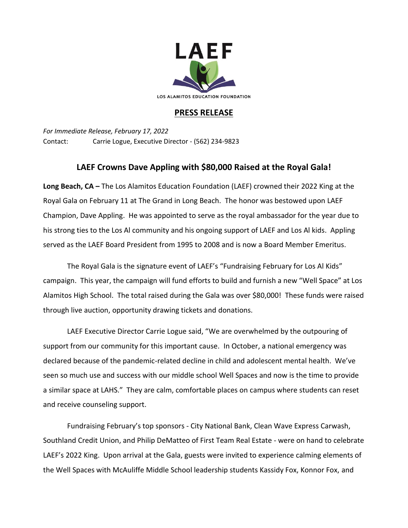

## **PRESS RELEASE**

*For Immediate Release, February 17, 2022* Contact: Carrie Logue, Executive Director - (562) 234-9823

## **LAEF Crowns Dave Appling with \$80,000 Raised at the Royal Gala!**

**Long Beach, CA –** The Los Alamitos Education Foundation (LAEF) crowned their 2022 King at the Royal Gala on February 11 at The Grand in Long Beach. The honor was bestowed upon LAEF Champion, Dave Appling. He was appointed to serve as the royal ambassador for the year due to his strong ties to the Los Al community and his ongoing support of LAEF and Los Al kids. Appling served as the LAEF Board President from 1995 to 2008 and is now a Board Member Emeritus.

The Royal Gala is the signature event of LAEF's "Fundraising February for Los Al Kids" campaign. This year, the campaign will fund efforts to build and furnish a new "Well Space" at Los Alamitos High School. The total raised during the Gala was over \$80,000! These funds were raised through live auction, opportunity drawing tickets and donations.

LAEF Executive Director Carrie Logue said, "We are overwhelmed by the outpouring of support from our community for this important cause. In October, a national emergency was declared because of the pandemic-related decline in child and adolescent mental health. We've seen so much use and success with our middle school Well Spaces and now is the time to provide a similar space at LAHS." They are calm, comfortable places on campus where students can reset and receive counseling support.

Fundraising February's top sponsors - City National Bank, Clean Wave Express Carwash, Southland Credit Union, and Philip DeMatteo of First Team Real Estate - were on hand to celebrate LAEF's 2022 King. Upon arrival at the Gala, guests were invited to experience calming elements of the Well Spaces with McAuliffe Middle School leadership students Kassidy Fox, Konnor Fox, and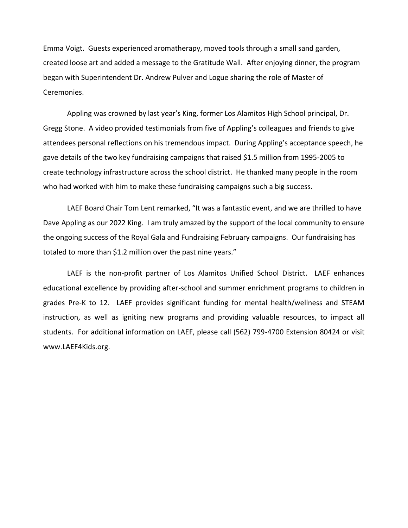Emma Voigt. Guests experienced aromatherapy, moved tools through a small sand garden, created loose art and added a message to the Gratitude Wall. After enjoying dinner, the program began with Superintendent Dr. Andrew Pulver and Logue sharing the role of Master of Ceremonies.

Appling was crowned by last year's King, former Los Alamitos High School principal, Dr. Gregg Stone. A video provided testimonials from five of Appling's colleagues and friends to give attendees personal reflections on his tremendous impact. During Appling's acceptance speech, he gave details of the two key fundraising campaigns that raised \$1.5 million from 1995-2005 to create technology infrastructure across the school district. He thanked many people in the room who had worked with him to make these fundraising campaigns such a big success.

LAEF Board Chair Tom Lent remarked, "It was a fantastic event, and we are thrilled to have Dave Appling as our 2022 King. I am truly amazed by the support of the local community to ensure the ongoing success of the Royal Gala and Fundraising February campaigns. Our fundraising has totaled to more than \$1.2 million over the past nine years."

LAEF is the non-profit partner of Los Alamitos Unified School District. LAEF enhances educational excellence by providing after-school and summer enrichment programs to children in grades Pre-K to 12. LAEF provides significant funding for mental health/wellness and STEAM instruction, as well as igniting new programs and providing valuable resources, to impact all students. For additional information on LAEF, please call (562) 799-4700 Extension 80424 or visit www.LAEF4Kids.org.